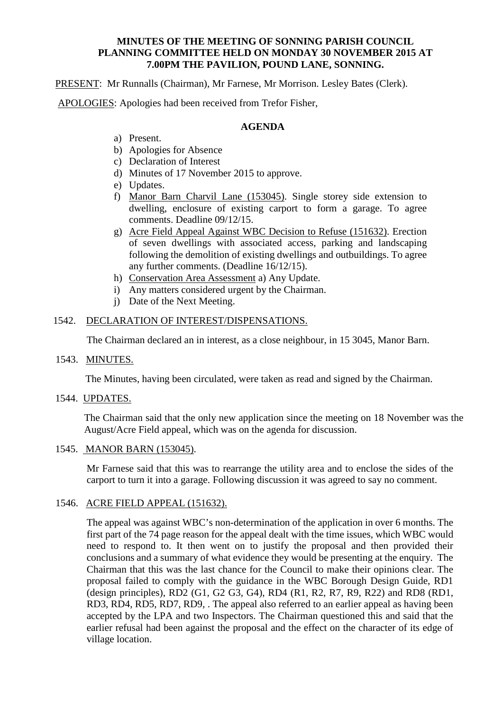#### **MINUTES OF THE MEETING OF SONNING PARISH COUNCIL PLANNING COMMITTEE HELD ON MONDAY 30 NOVEMBER 2015 AT 7.00PM THE PAVILION, POUND LANE, SONNING.**

PRESENT: Mr Runnalls (Chairman), Mr Farnese, Mr Morrison. Lesley Bates (Clerk).

APOLOGIES: Apologies had been received from Trefor Fisher,

## **AGENDA**

- a) Present.
- b) Apologies for Absence
- c) Declaration of Interest
- d) Minutes of 17 November 2015 to approve.
- e) Updates.
- f) Manor Barn Charvil Lane (153045). Single storey side extension to dwelling, enclosure of existing carport to form a garage. To agree comments. Deadline 09/12/15.
- g) Acre Field Appeal Against WBC Decision to Refuse (151632). Erection of seven dwellings with associated access, parking and landscaping following the demolition of existing dwellings and outbuildings. To agree any further comments. (Deadline 16/12/15).
- h) Conservation Area Assessment a) Any Update.
- i) Any matters considered urgent by the Chairman.
- j) Date of the Next Meeting.

# 1542. DECLARATION OF INTEREST/DISPENSATIONS.

The Chairman declared an in interest, as a close neighbour, in 15 3045, Manor Barn.

#### 1543. MINUTES.

The Minutes, having been circulated, were taken as read and signed by the Chairman.

#### 1544. UPDATES.

The Chairman said that the only new application since the meeting on 18 November was the August/Acre Field appeal, which was on the agenda for discussion.

# 1545. MANOR BARN (153045).

Mr Farnese said that this was to rearrange the utility area and to enclose the sides of the carport to turn it into a garage. Following discussion it was agreed to say no comment.

#### 1546. ACRE FIELD APPEAL (151632).

The appeal was against WBC's non-determination of the application in over 6 months. The first part of the 74 page reason for the appeal dealt with the time issues, which WBC would need to respond to. It then went on to justify the proposal and then provided their conclusions and a summary of what evidence they would be presenting at the enquiry. The Chairman that this was the last chance for the Council to make their opinions clear. The proposal failed to comply with the guidance in the WBC Borough Design Guide, RD1 (design principles), RD2 (G1, G2 G3, G4), RD4 (R1, R2, R7, R9, R22) and RD8 (RD1, RD3, RD4, RD5, RD7, RD9, . The appeal also referred to an earlier appeal as having been accepted by the LPA and two Inspectors. The Chairman questioned this and said that the earlier refusal had been against the proposal and the effect on the character of its edge of village location.